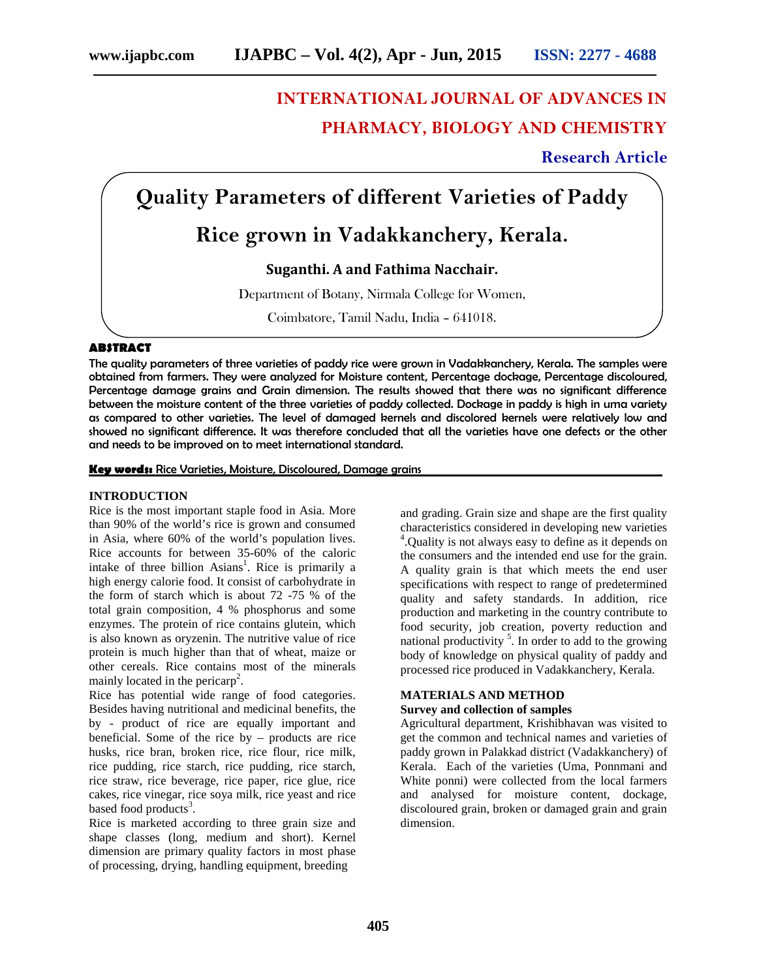# **INTERNATIONAL JOURNAL OF ADVANCES IN PHARMACY, BIOLOGY AND CHEMISTRY**

**Research Article**

## **Quality Parameters of different Varieties of Paddy**

## **Rice grown in Vadakkanchery, Kerala.**

**Suganthi. A and Fathima Nacchair.**

Department of Botany, Nirmala College for Women,

Coimbatore, Tamil Nadu, India – 641018.

#### **ABSTRACT**

The quality parameters of three varieties of paddy rice were grown in Vadakkanchery, Kerala. The samples were obtained from farmers. They were analyzed for Moisture content, Percentage dockage, Percentage discoloured, Percentage damage grains and Grain dimension. The results showed that there was no significant difference between the moisture content of the three varieties of paddy collected. Dockage in paddy is high in uma variety as compared to other varieties. The level of damaged kernels and discolored kernels were relatively low and showed no significant difference. It was therefore concluded that all the varieties have one defects or the other and needs to be improved on to meet international standard.

**Key words:** Rice Varieties, Moisture, Discoloured, Damage grains

#### **INTRODUCTION**

Rice is the most important staple food in Asia. More than 90% of the world's rice is grown and consumed in Asia, where 60% of the world's population lives. Rice accounts for between 35-60% of the caloric intake of three billion Asians<sup>1</sup>. Rice is primarily a high energy calorie food. It consist of carbohydrate in the form of starch which is about 72 -75 % of the total grain composition, 4 % phosphorus and some enzymes. The protein of rice contains glutein, which is also known as oryzenin. The nutritive value of rice protein is much higher than that of wheat, maize or other cereals. Rice contains most of the minerals mainly located in the pericarp<sup>2</sup>.

Rice has potential wide range of food categories. Besides having nutritional and medicinal benefits, the by - product of rice are equally important and beneficial. Some of the rice by – products are rice husks, rice bran, broken rice, rice flour, rice milk, rice pudding, rice starch, rice pudding, rice starch, rice straw, rice beverage, rice paper, rice glue, rice cakes, rice vinegar, rice soya milk, rice yeast and rice based food products<sup>3</sup>.

Rice is marketed according to three grain size and shape classes (long, medium and short). Kernel dimension are primary quality factors in most phase of processing, drying, handling equipment, breeding

and grading. Grain size and shape are the first quality characteristics considered in developing new varieties 4 .Quality is not always easy to define as it depends on the consumers and the intended end use for the grain. A quality grain is that which meets the end user specifications with respect to range of predetermined quality and safety standards. In addition, rice production and marketing in the country contribute to food security, job creation, poverty reduction and national productivity<sup>5</sup>. In order to add to the growing body of knowledge on physical quality of paddy and processed rice produced in Vadakkanchery, Kerala.

### **MATERIALS AND METHOD**

#### **Survey and collection of samples**

Agricultural department, Krishibhavan was visited to get the common and technical names and varieties of paddy grown in Palakkad district (Vadakkanchery) of Kerala. Each of the varieties (Uma, Ponnmani and White ponni) were collected from the local farmers and analysed for moisture content, dockage, discoloured grain, broken or damaged grain and grain dimension.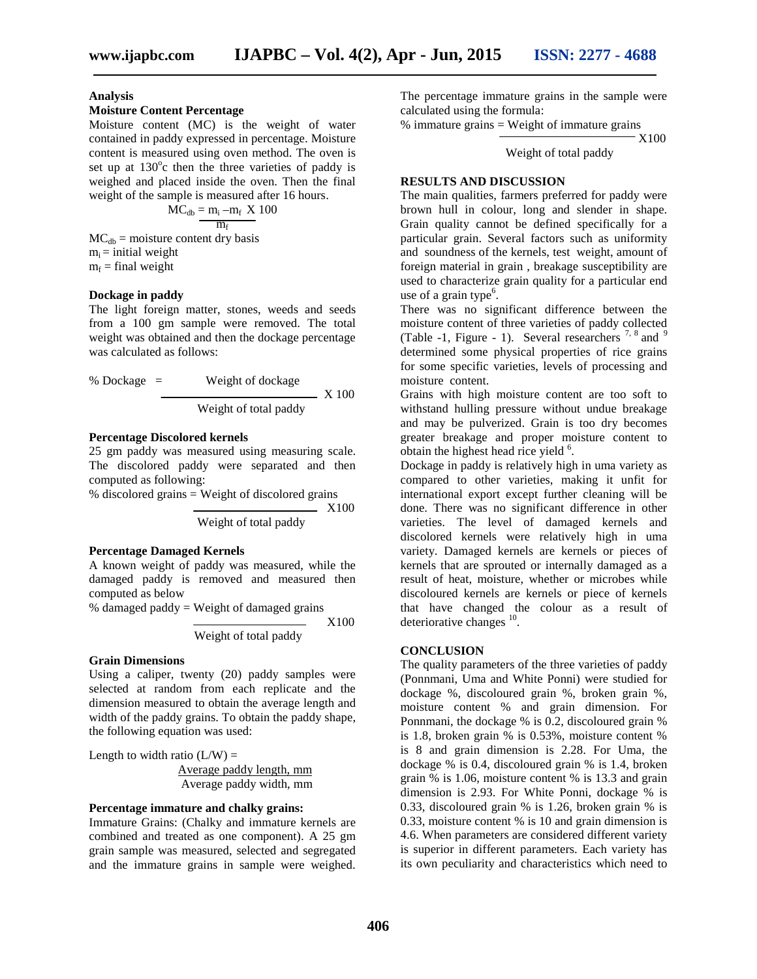#### **Analysis**

#### **Moisture Content Percentage**

Moisture content (MC) is the weight of water contained in paddy expressed in percentage. Moisture content is measured using oven method. The oven is set up at  $130^{\circ}$ c then the three varieties of paddy is weighed and placed inside the oven. Then the final weight of the sample is measured after 16 hours.

$$
MC_{db} = m_i - m_f \times 100
$$

$$
m_f
$$

 $MC<sub>db</sub> = moisture content dry basis$  $m_i$  = initial weight  $m_f$  = final weight

#### **Dockage in paddy**

The light foreign matter, stones, weeds and seeds from a 100 gm sample were removed. The total weight was obtained and then the dockage percentage was calculated as follows:

% Dockage = Weight of dockage  
\nWeight of total paddy  
\n
$$
X 100
$$

#### **Percentage Discolored kernels**

25 gm paddy was measured using measuring scale. The discolored paddy were separated and then computed as following:

% discolored grains = Weight of discolored grains

X100 Weight of total paddy

#### **Percentage Damaged Kernels**

A known weight of paddy was measured, while the damaged paddy is removed and measured then computed as below

% damaged paddy = Weight of damaged grains

X100

Weight of total paddy

#### **Grain Dimensions**

Using a caliper, twenty (20) paddy samples were selected at random from each replicate and the dimension measured to obtain the average length and width of the paddy grains. To obtain the paddy shape, the following equation was used:

Length to width ratio  $(L/W)$  =

Average paddy length, mm Average paddy width, mm

#### **Percentage immature and chalky grains:**

Immature Grains: (Chalky and immature kernels are combined and treated as one component). A 25 gm grain sample was measured, selected and segregated and the immature grains in sample were weighed. The percentage immature grains in the sample were calculated using the formula:

 $%$  immature grains = Weight of immature grains X100

Weight of total paddy

#### **RESULTS AND DISCUSSION**

The main qualities, farmers preferred for paddy were brown hull in colour, long and slender in shape. Grain quality cannot be defined specifically for a particular grain. Several factors such as uniformity and soundness of the kernels, test weight, amount of foreign material in grain , breakage susceptibility are used to characterize grain quality for a particular end use of a grain type $6$ .

There was no significant difference between the moisture content of three varieties of paddy collected (Table -1, Figure - 1). Several researchers  $^{7, 8}$  and  $^{9}$ determined some physical properties of rice grains for some specific varieties, levels of processing and moisture content.

Grains with high moisture content are too soft to withstand hulling pressure without undue breakage and may be pulverized. Grain is too dry becomes greater breakage and proper moisture content to obtain the highest head rice yield <sup>6</sup>.

Dockage in paddy is relatively high in uma variety as compared to other varieties, making it unfit for international export except further cleaning will be done. There was no significant difference in other varieties. The level of damaged kernels and discolored kernels were relatively high in uma variety. Damaged kernels are kernels or pieces of kernels that are sprouted or internally damaged as a result of heat, moisture, whether or microbes while discoloured kernels are kernels or piece of kernels that have changed the colour as a result of deteriorative changes  $^{10}$ .

#### **CONCLUSION**

The quality parameters of the three varieties of paddy (Ponnmani, Uma and White Ponni) were studied for dockage %, discoloured grain %, broken grain %, moisture content % and grain dimension. For Ponnmani, the dockage % is 0.2, discoloured grain % is 1.8, broken grain % is 0.53%, moisture content % is 8 and grain dimension is 2.28. For Uma, the dockage % is 0.4, discoloured grain % is 1.4, broken grain % is 1.06, moisture content % is 13.3 and grain dimension is 2.93. For White Ponni, dockage % is 0.33, discoloured grain % is 1.26, broken grain % is 0.33, moisture content % is 10 and grain dimension is 4.6. When parameters are considered different variety is superior in different parameters. Each variety has its own peculiarity and characteristics which need to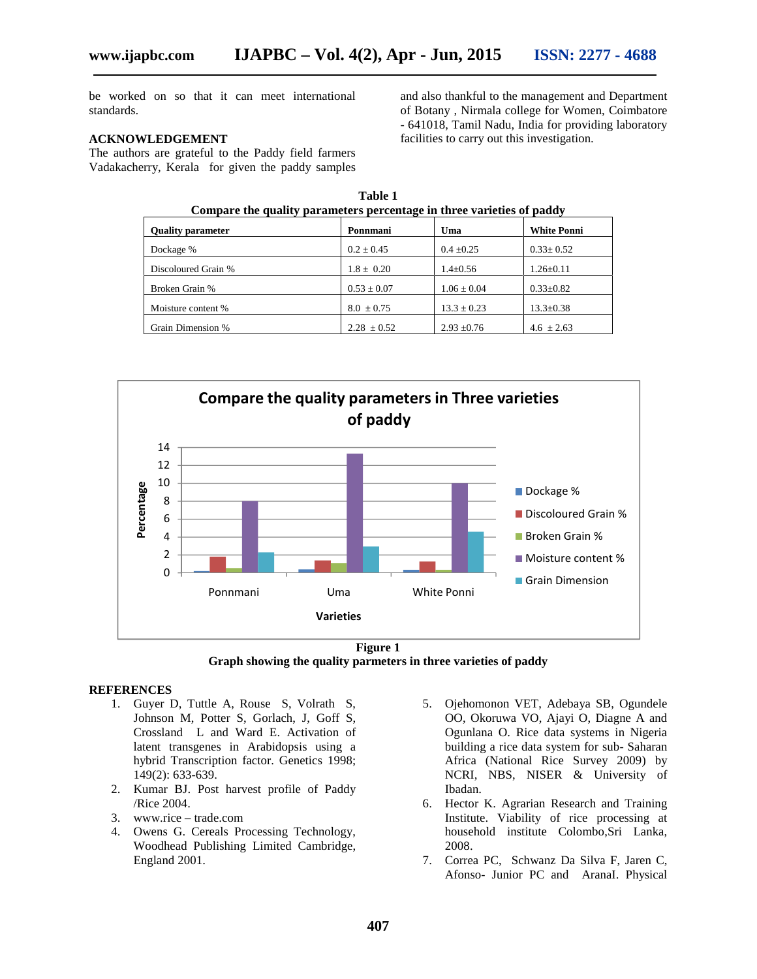be worked on so that it can meet international standards.

#### **ACKNOWLEDGEMENT**

The authors are grateful to the Paddy field farmers Vadakacherry, Kerala for given the paddy samples

> **Table 1 Compare the quality parameters percentage in three varieties of paddy Quality parameter Ponni Ponnmani Uma White Ponni** Dockage % 0.2 ± 0.45 0.4 ± 0.25 0.33± 0.52 Discoloured Grain % 1.8 ± 0.20 1.4±0.56 1.26±0.11 Broken Grain % 0.53 ± 0.07  $1.06 \pm 0.04$  0.33±0.82 Moisture content %  $8.0 \pm 0.75$  13.3  $\pm$  0.23 13.3 $\pm$ 0.38 Grain Dimension % 2.28  $\pm 0.52$  2.93  $\pm 0.76$  4.6  $\pm 2.63$





#### **REFERENCES**

- 1. Guyer D, Tuttle A, Rouse S, Volrath S, Johnson M, Potter S, Gorlach, J, Goff S, Crossland L and Ward E. Activation of latent transgenes in Arabidopsis using a hybrid Transcription factor. Genetics 1998; 149(2): 633-639.
- 2. Kumar BJ. Post harvest profile of Paddy /Rice 2004.
- 3. www.rice trade.com
- 4. Owens G. Cereals Processing Technology, Woodhead Publishing Limited Cambridge, England 2001.
- 5. Ojehomonon VET, Adebaya SB, Ogundele OO, Okoruwa VO, Ajayi O, Diagne A and Ogunlana O. Rice data systems in Nigeria building a rice data system for sub- Saharan Africa (National Rice Survey 2009) by NCRI, NBS, NISER & University of Ibadan.

and also thankful to the management and Department of Botany , Nirmala college for Women, Coimbatore - 641018, Tamil Nadu, India for providing laboratory

facilities to carry out this investigation.

- 6. Hector K. Agrarian Research and Training Institute. Viability of rice processing at household institute Colombo,Sri Lanka, 2008.
- 7. Correa PC, Schwanz Da Silva F, Jaren C, Afonso- Junior PC and AranaI. Physical